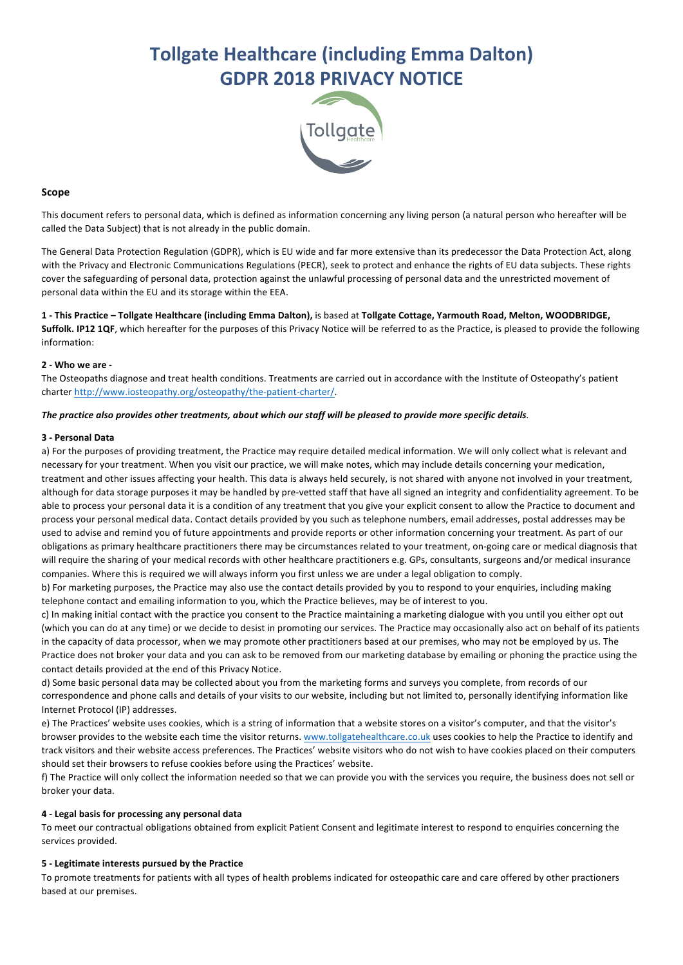# **Tollgate Healthcare (including Emma Dalton) GDPR 2018 PRIVACY NOTICE**



## **Scope**

This document refers to personal data, which is defined as information concerning any living person (a natural person who hereafter will be called the Data Subject) that is not already in the public domain.

The General Data Protection Regulation (GDPR), which is EU wide and far more extensive than its predecessor the Data Protection Act, along with the Privacy and Electronic Communications Regulations (PECR), seek to protect and enhance the rights of EU data subjects. These rights cover the safeguarding of personal data, protection against the unlawful processing of personal data and the unrestricted movement of personal data within the EU and its storage within the EEA.

**1 - This Practice – Tollgate Healthcare (including Emma Dalton),** is based at **Tollgate Cottage, Yarmouth Road, Melton, WOODBRIDGE, Suffolk. IP12 1QF**, which hereafter for the purposes of this Privacy Notice will be referred to as the Practice, is pleased to provide the following information:

#### **2 - Who we are -**

The Osteopaths diagnose and treat health conditions. Treatments are carried out in accordance with the Institute of Osteopathy's patient charter http://www.iosteopathy.org/osteopathy/the-patient-charter/.

#### The practice also provides other treatments, about which our staff will be pleased to provide more specific details.

#### **3 - Personal Data**

a) For the purposes of providing treatment, the Practice may require detailed medical information. We will only collect what is relevant and necessary for your treatment. When you visit our practice, we will make notes, which may include details concerning your medication, treatment and other issues affecting your health. This data is always held securely, is not shared with anyone not involved in your treatment, although for data storage purposes it may be handled by pre-vetted staff that have all signed an integrity and confidentiality agreement. To be able to process your personal data it is a condition of any treatment that you give your explicit consent to allow the Practice to document and process your personal medical data. Contact details provided by you such as telephone numbers, email addresses, postal addresses may be used to advise and remind you of future appointments and provide reports or other information concerning your treatment. As part of our obligations as primary healthcare practitioners there may be circumstances related to your treatment, on-going care or medical diagnosis that will require the sharing of your medical records with other healthcare practitioners e.g. GPs, consultants, surgeons and/or medical insurance companies. Where this is required we will always inform you first unless we are under a legal obligation to comply.

b) For marketing purposes, the Practice may also use the contact details provided by you to respond to your enquiries, including making telephone contact and emailing information to you, which the Practice believes, may be of interest to you.

c) In making initial contact with the practice you consent to the Practice maintaining a marketing dialogue with you until you either opt out (which you can do at any time) or we decide to desist in promoting our services. The Practice may occasionally also act on behalf of its patients in the capacity of data processor, when we may promote other practitioners based at our premises, who may not be employed by us. The Practice does not broker your data and you can ask to be removed from our marketing database by emailing or phoning the practice using the contact details provided at the end of this Privacy Notice.

d) Some basic personal data may be collected about you from the marketing forms and surveys you complete, from records of our correspondence and phone calls and details of your visits to our website, including but not limited to, personally identifying information like Internet Protocol (IP) addresses.

e) The Practices' website uses cookies, which is a string of information that a website stores on a visitor's computer, and that the visitor's browser provides to the website each time the visitor returns. www.tollgatehealthcare.co.uk uses cookies to help the Practice to identify and track visitors and their website access preferences. The Practices' website visitors who do not wish to have cookies placed on their computers should set their browsers to refuse cookies before using the Practices' website.

f) The Practice will only collect the information needed so that we can provide you with the services you require, the business does not sell or broker your data.

#### **4 - Legal basis for processing any personal data**

To meet our contractual obligations obtained from explicit Patient Consent and legitimate interest to respond to enquiries concerning the services provided.

## **5 - Legitimate interests pursued by the Practice**

To promote treatments for patients with all types of health problems indicated for osteopathic care and care offered by other practioners based at our premises.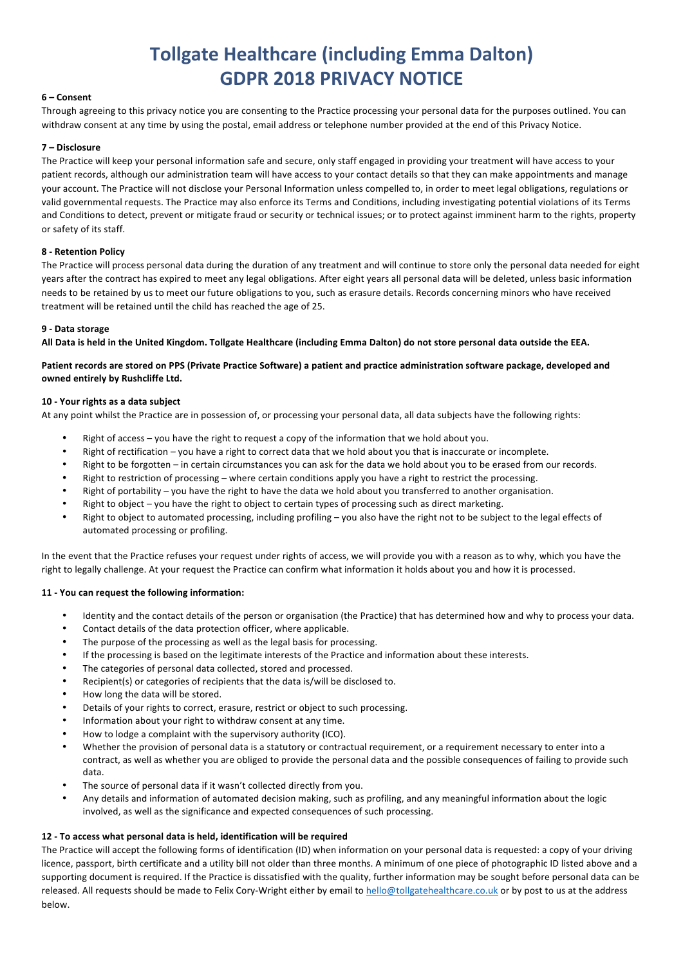# **Tollgate Healthcare (including Emma Dalton) GDPR 2018 PRIVACY NOTICE**

## **6 – Consent**

Through agreeing to this privacy notice you are consenting to the Practice processing your personal data for the purposes outlined. You can withdraw consent at any time by using the postal, email address or telephone number provided at the end of this Privacy Notice.

## **7 – Disclosure**

The Practice will keep your personal information safe and secure, only staff engaged in providing your treatment will have access to your patient records, although our administration team will have access to your contact details so that they can make appointments and manage your account. The Practice will not disclose your Personal Information unless compelled to, in order to meet legal obligations, regulations or valid governmental requests. The Practice may also enforce its Terms and Conditions, including investigating potential violations of its Terms and Conditions to detect, prevent or mitigate fraud or security or technical issues; or to protect against imminent harm to the rights, property or safety of its staff.

## **8 - Retention Policy**

The Practice will process personal data during the duration of any treatment and will continue to store only the personal data needed for eight years after the contract has expired to meet any legal obligations. After eight years all personal data will be deleted, unless basic information needs to be retained by us to meet our future obligations to you, such as erasure details. Records concerning minors who have received treatment will be retained until the child has reached the age of 25.

# **9 - Data storage**

All Data is held in the United Kingdom. Tollgate Healthcare (including Emma Dalton) do not store personal data outside the EEA.

# Patient records are stored on PPS (Private Practice Software) a patient and practice administration software package, developed and **owned entirely by Rushcliffe Ltd.**

## **10 - Your rights as a data subject**

At any point whilst the Practice are in possession of, or processing your personal data, all data subjects have the following rights:

- Right of access  $-$  you have the right to request a copy of the information that we hold about you.
- Right of rectification  $-$  you have a right to correct data that we hold about you that is inaccurate or incomplete.
- Right to be forgotten in certain circumstances you can ask for the data we hold about you to be erased from our records.
- Right to restriction of processing where certain conditions apply you have a right to restrict the processing.
- Right of portability you have the right to have the data we hold about you transferred to another organisation.
- Right to object  $-$  you have the right to object to certain types of processing such as direct marketing.
- Right to object to automated processing, including profiling  $-$  you also have the right not to be subject to the legal effects of automated processing or profiling.

In the event that the Practice refuses your request under rights of access, we will provide you with a reason as to why, which you have the right to legally challenge. At your request the Practice can confirm what information it holds about you and how it is processed.

## 11 - You can request the following information:

- Identity and the contact details of the person or organisation (the Practice) that has determined how and why to process your data.
- Contact details of the data protection officer, where applicable.
- The purpose of the processing as well as the legal basis for processing.
- If the processing is based on the legitimate interests of the Practice and information about these interests.
- The categories of personal data collected, stored and processed.
- Recipient(s) or categories of recipients that the data is/will be disclosed to.
- How long the data will be stored.
- Details of your rights to correct, erasure, restrict or object to such processing.
- Information about your right to withdraw consent at any time.
- How to lodge a complaint with the supervisory authority (ICO).
- Whether the provision of personal data is a statutory or contractual requirement, or a requirement necessary to enter into a contract, as well as whether you are obliged to provide the personal data and the possible consequences of failing to provide such data.
- The source of personal data if it wasn't collected directly from you.
- Any details and information of automated decision making, such as profiling, and any meaningful information about the logic involved, as well as the significance and expected consequences of such processing.

## **12 - To access what personal data is held, identification will be required**

The Practice will accept the following forms of identification (ID) when information on your personal data is requested: a copy of your driving licence, passport, birth certificate and a utility bill not older than three months. A minimum of one piece of photographic ID listed above and a supporting document is required. If the Practice is dissatisfied with the quality, further information may be sought before personal data can be released. All requests should be made to Felix Cory-Wright either by email to hello@tollgatehealthcare.co.uk or by post to us at the address below.